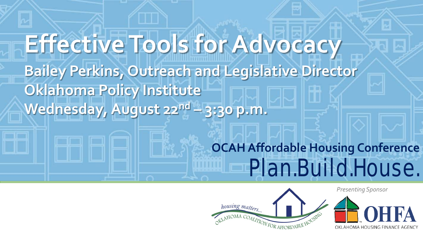# **OCAH Affordable Housing Conference** Plan.Build.House. *Presenting Sponsor* **Effective Tools for Advocacy Bailey Perkins, Outreach and Legislative Director Oklahoma Policy Institute Wednesday, August 22nd – 3:30 p.m.**



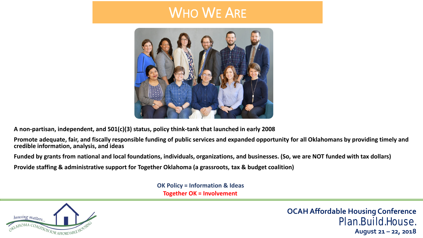## WHO WE ARE



**A non-partisan, independent, and 501(c)(3) status, policy think-tank that launched in early 2008** 

**Promote adequate, fair, and fiscally responsible funding of public services and expanded opportunity for all Oklahomans by providing timely and credible information, analysis, and ideas**

**Funded by grants from national and local foundations, individuals, organizations, and businesses. (So, we are NOT funded with tax dollars)** 

**Provide staffing & administrative support for Together Oklahoma (a grassroots, tax & budget coalition)**

**OK Policy = Information & Ideas Together OK = Involvement** 



**OCAH Affordable Housing Conference** Plan.Build.House.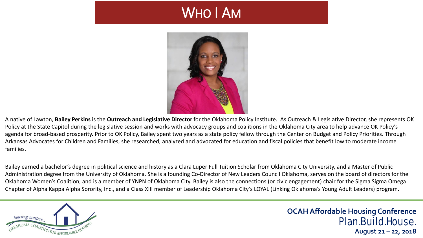# WHO I AM



A native of Lawton, **Bailey Perkins** is the **Outreach and Legislative Director** for the Oklahoma Policy Institute. As Outreach & Legislative Director, she represents OK Policy at the State Capitol during the legislative session and works with advocacy groups and coalitions in the Oklahoma City area to help advance OK Policy's agenda for broad-based prosperity. Prior to OK Policy, Bailey spent two years as a state policy fellow through the Center on Budget and Policy Priorities. Through Arkansas Advocates for Children and Families, she researched, analyzed and advocated for education and fiscal policies that benefit low to moderate income families.

Bailey earned a bachelor's degree in political science and history as a Clara Luper Full Tuition Scholar from Oklahoma City University, and a Master of Public Administration degree from the University of Oklahoma. She is a founding Co-Director of New Leaders Council Oklahoma, serves on the board of directors for the Oklahoma Women's Coalition, and is a member of YNPN of Oklahoma City. Bailey is also the connections (or civic engagement) chair for the Sigma Sigma Omega Chapter of Alpha Kappa Alpha Sorority, Inc., and a Class XIII member of Leadership Oklahoma City's LOYAL (Linking Oklahoma's Young Adult Leaders) program.

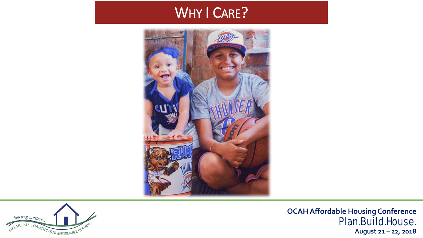## WHY I CARE?





**OCAH Affordable Housing Conference** Plan.Build.House.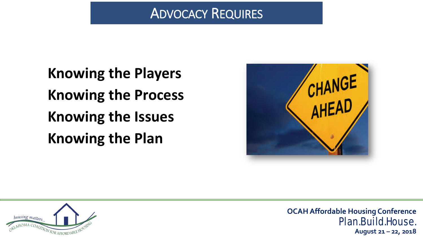#### ADVOCACY REQUIRES

**Knowing the Players Knowing the Process Knowing the Issues Knowing the Plan** 



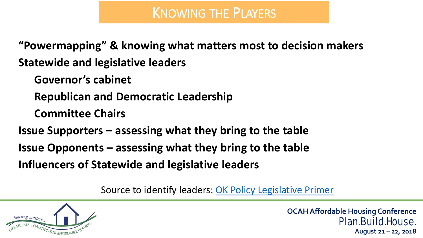**"Powermapping" & knowing what matters most to decision makers Statewide and legislative leaders**

**Governor's cabinet**

**Republican and Democratic Leadership** 

**Committee Chairs** 

**Issue Supporters – assessing what they bring to the table**

**Issue Opponents – assessing what they bring to the table** 

**Influencers of Statewide and legislative leaders**

Source to identify leaders: [OK Policy Legislative Primer](https://okpolicy.org/resources/2018-oklahoma-legislative-primer/) 

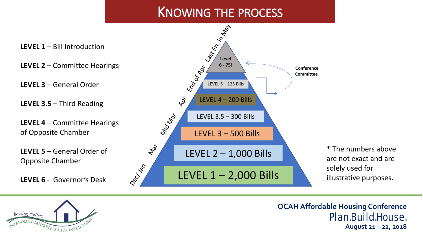#### KNOWING THE PROCESS





**OCAH Affordable Housing Conference** Plan.Build.House.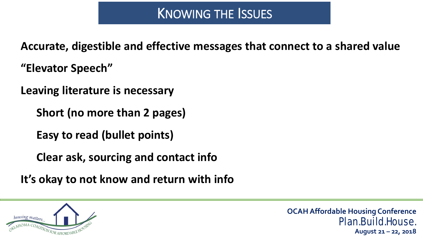**Accurate, digestible and effective messages that connect to a shared value** 

**"Elevator Speech"** 

**Leaving literature is necessary** 

**Short (no more than 2 pages)**

**Easy to read (bullet points)**

**Clear ask, sourcing and contact info**

**It's okay to not know and return with info** 

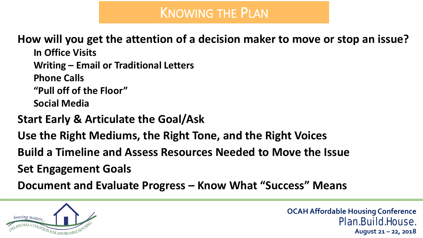# KNOWING THE PLAN

**How will you get the attention of a decision maker to move or stop an issue?** 

**In Office Visits Writing – Email or Traditional Letters Phone Calls "Pull off of the Floor" Social Media** 

**Start Early & Articulate the Goal/Ask** 

**Use the Right Mediums, the Right Tone, and the Right Voices** 

**Build a Timeline and Assess Resources Needed to Move the Issue** 

**Set Engagement Goals** 

**Document and Evaluate Progress – Know What "Success" Means** 

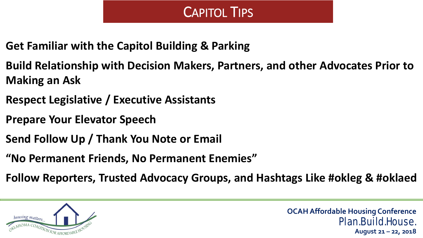## CAPITOL TIPS

- **Get Familiar with the Capitol Building & Parking**
- **Build Relationship with Decision Makers, Partners, and other Advocates Prior to Making an Ask**
- **Respect Legislative / Executive Assistants**
- **Prepare Your Elevator Speech**
- **Send Follow Up / Thank You Note or Email**
- **"No Permanent Friends, No Permanent Enemies"**
- **Follow Reporters, Trusted Advocacy Groups, and Hashtags Like #okleg & #oklaed**

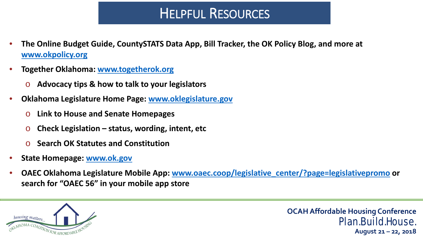# HELPFUL RESOURCES

- **The Online Budget Guide, CountySTATS Data App, Bill Tracker, the OK Policy Blog, and more at [www.okpolicy.org](http://www.okpolicy.org/)**
- **Together Oklahoma: [www.togetherok.org](http://www.togetherok.org/)**
	- o **Advocacy tips & how to talk to your legislators**
- **Oklahoma Legislature Home Page: [www.oklegislature.gov](http://www.oklegislature.gov/)**
	- o **Link to House and Senate Homepages**
	- o **Check Legislation – status, wording, intent, etc**
	- o **Search OK Statutes and Constitution**
- **State Homepage: [www.ok.gov](http://www.ok.gov/)**
- **OAEC Oklahoma Legislature Mobile App: [www.oaec.coop/legislative\\_center/?page=legislativepromo](http://www.oaec.coop/legislative_center/?page=legislativepromo) or search for "OAEC 56" in your mobile app store**